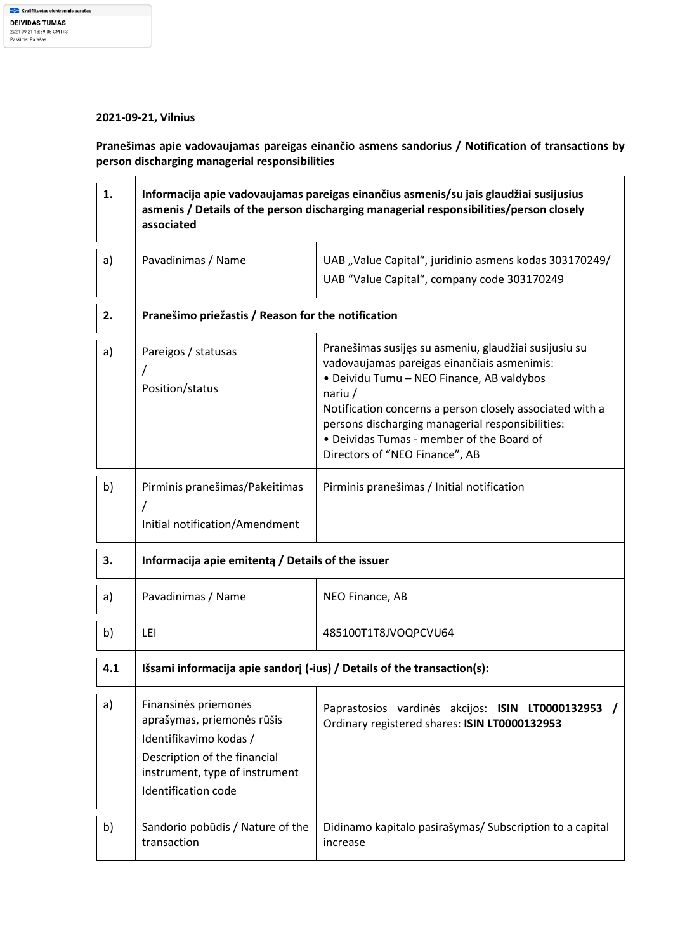## **2021-09-21, Vilnius**

**Pranešimas apie vadovaujamas pareigas einančio asmens sandorius / Notification of transactions by person discharging managerial responsibilities** 

| 1.  | Informacija apie vadovaujamas pareigas einančius asmenis/su jais glaudžiai susijusius<br>asmenis / Details of the person discharging managerial responsibilities/person closely<br>associated |                                                                                                                                                                                                                                                                                                                                                               |  |
|-----|-----------------------------------------------------------------------------------------------------------------------------------------------------------------------------------------------|---------------------------------------------------------------------------------------------------------------------------------------------------------------------------------------------------------------------------------------------------------------------------------------------------------------------------------------------------------------|--|
| a)  | Pavadinimas / Name                                                                                                                                                                            | UAB "Value Capital", juridinio asmens kodas 303170249/<br>UAB "Value Capital", company code 303170249                                                                                                                                                                                                                                                         |  |
| 2.  | Pranešimo priežastis / Reason for the notification                                                                                                                                            |                                                                                                                                                                                                                                                                                                                                                               |  |
| a)  | Pareigos / statusas<br>Position/status                                                                                                                                                        | Pranešimas susijęs su asmeniu, glaudžiai susijusiu su<br>vadovaujamas pareigas einančiais asmenimis:<br>· Deividu Tumu - NEO Finance, AB valdybos<br>nariu $/$<br>Notification concerns a person closely associated with a<br>persons discharging managerial responsibilities:<br>• Deividas Tumas - member of the Board of<br>Directors of "NEO Finance", AB |  |
| b)  | Pirminis pranešimas/Pakeitimas<br>Initial notification/Amendment                                                                                                                              | Pirminis pranešimas / Initial notification                                                                                                                                                                                                                                                                                                                    |  |
| 3.  | Informacija apie emitenta / Details of the issuer                                                                                                                                             |                                                                                                                                                                                                                                                                                                                                                               |  |
| a)  | Pavadinimas / Name                                                                                                                                                                            | NEO Finance, AB                                                                                                                                                                                                                                                                                                                                               |  |
| b)  | LEI                                                                                                                                                                                           | 485100T1T8JVOQPCVU64                                                                                                                                                                                                                                                                                                                                          |  |
| 4.1 | Išsami informacija apie sandorį (-ius) / Details of the transaction(s):                                                                                                                       |                                                                                                                                                                                                                                                                                                                                                               |  |
| a)  | Finansinės priemonės<br>aprašymas, priemonės rūšis<br>Identifikavimo kodas /<br>Description of the financial<br>instrument, type of instrument<br><b>Identification code</b>                  | Paprastosios vardinės akcijos: ISIN LT0000132953<br>Ordinary registered shares: ISIN LT0000132953                                                                                                                                                                                                                                                             |  |
| b)  | Sandorio pobūdis / Nature of the<br>transaction                                                                                                                                               | Didinamo kapitalo pasirašymas/ Subscription to a capital<br>increase                                                                                                                                                                                                                                                                                          |  |